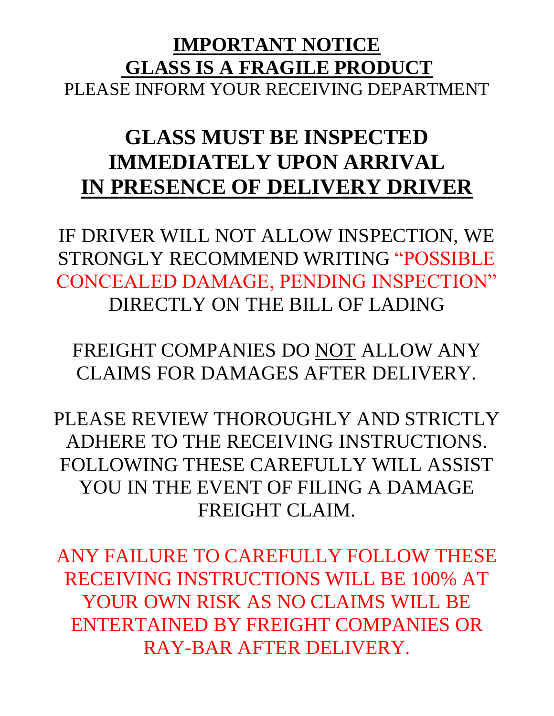## **IMPORTANT NOTICE GLASS IS A FRAGILE PRODUCT** PLEASE INFORM YOUR RECEIVING DEPARTMENT

# **GLASS MUST BE INSPECTED IMMEDIATELY UPON ARRIVAL IN PRESENCE OF DELIVERY DRIVER**

IF DRIVER WILL NOT ALLOW INSPECTION, WE STRONGLY RECOMMEND WRITING "POSSIBLE CONCEALED DAMAGE, PENDING INSPECTION" DIRECTLY ON THE BILL OF LADING

FREIGHT COMPANIES DO NOT ALLOW ANY CLAIMS FOR DAMAGES AFTER DELIVERY.

PLEASE REVIEW THOROUGHLY AND STRICTLY ADHERE TO THE RECEIVING INSTRUCTIONS. FOLLOWING THESE CAREFULLY WILL ASSIST YOU IN THE EVENT OF FILING A DAMAGE FREIGHT CLAIM.

ANY FAILURE TO CAREFULLY FOLLOW THESE RECEIVING INSTRUCTIONS WILL BE 100% AT YOUR OWN RISK AS NO CLAIMS WILL BE ENTERTAINED BY FREIGHT COMPANIES OR RAY-BAR AFTER DELIVERY.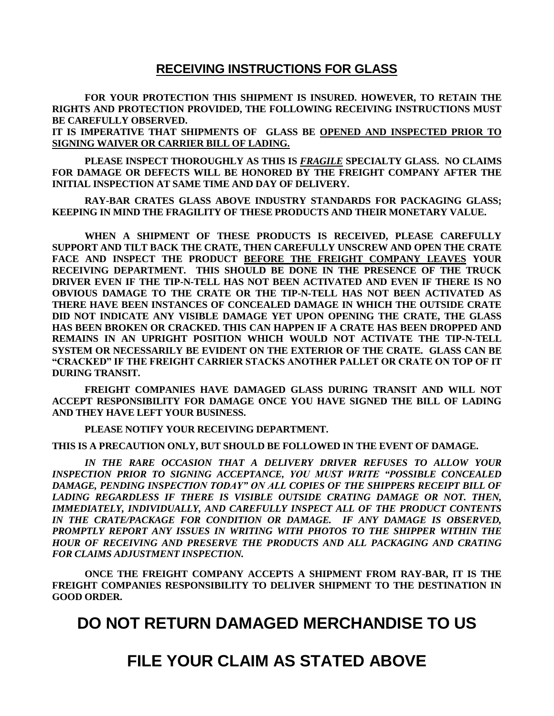#### **RECEIVING INSTRUCTIONS FOR GLASS**

**FOR YOUR PROTECTION THIS SHIPMENT IS INSURED. HOWEVER, TO RETAIN THE RIGHTS AND PROTECTION PROVIDED, THE FOLLOWING RECEIVING INSTRUCTIONS MUST BE CAREFULLY OBSERVED.**

**IT IS IMPERATIVE THAT SHIPMENTS OF GLASS BE OPENED AND INSPECTED PRIOR TO SIGNING WAIVER OR CARRIER BILL OF LADING.**

**PLEASE INSPECT THOROUGHLY AS THIS IS** *FRAGILE* **SPECIALTY GLASS. NO CLAIMS FOR DAMAGE OR DEFECTS WILL BE HONORED BY THE FREIGHT COMPANY AFTER THE INITIAL INSPECTION AT SAME TIME AND DAY OF DELIVERY.**

**RAY-BAR CRATES GLASS ABOVE INDUSTRY STANDARDS FOR PACKAGING GLASS; KEEPING IN MIND THE FRAGILITY OF THESE PRODUCTS AND THEIR MONETARY VALUE.**

**WHEN A SHIPMENT OF THESE PRODUCTS IS RECEIVED, PLEASE CAREFULLY SUPPORT AND TILT BACK THE CRATE, THEN CAREFULLY UNSCREW AND OPEN THE CRATE FACE AND INSPECT THE PRODUCT BEFORE THE FREIGHT COMPANY LEAVES YOUR RECEIVING DEPARTMENT. THIS SHOULD BE DONE IN THE PRESENCE OF THE TRUCK DRIVER EVEN IF THE TIP-N-TELL HAS NOT BEEN ACTIVATED AND EVEN IF THERE IS NO OBVIOUS DAMAGE TO THE CRATE OR THE TIP-N-TELL HAS NOT BEEN ACTIVATED AS THERE HAVE BEEN INSTANCES OF CONCEALED DAMAGE IN WHICH THE OUTSIDE CRATE DID NOT INDICATE ANY VISIBLE DAMAGE YET UPON OPENING THE CRATE, THE GLASS HAS BEEN BROKEN OR CRACKED. THIS CAN HAPPEN IF A CRATE HAS BEEN DROPPED AND REMAINS IN AN UPRIGHT POSITION WHICH WOULD NOT ACTIVATE THE TIP-N-TELL SYSTEM OR NECESSARILY BE EVIDENT ON THE EXTERIOR OF THE CRATE. GLASS CAN BE "CRACKED" IF THE FREIGHT CARRIER STACKS ANOTHER PALLET OR CRATE ON TOP OF IT DURING TRANSIT.**

**FREIGHT COMPANIES HAVE DAMAGED GLASS DURING TRANSIT AND WILL NOT ACCEPT RESPONSIBILITY FOR DAMAGE ONCE YOU HAVE SIGNED THE BILL OF LADING AND THEY HAVE LEFT YOUR BUSINESS.**

**PLEASE NOTIFY YOUR RECEIVING DEPARTMENT.**

**THIS IS A PRECAUTION ONLY, BUT SHOULD BE FOLLOWED IN THE EVENT OF DAMAGE.**

*IN THE RARE OCCASION THAT A DELIVERY DRIVER REFUSES TO ALLOW YOUR INSPECTION PRIOR TO SIGNING ACCEPTANCE, YOU MUST WRITE "POSSIBLE CONCEALED DAMAGE, PENDING INSPECTION TODAY" ON ALL COPIES OF THE SHIPPERS RECEIPT BILL OF LADING REGARDLESS IF THERE IS VISIBLE OUTSIDE CRATING DAMAGE OR NOT. THEN, IMMEDIATELY, INDIVIDUALLY, AND CAREFULLY INSPECT ALL OF THE PRODUCT CONTENTS IN THE CRATE/PACKAGE FOR CONDITION OR DAMAGE. IF ANY DAMAGE IS OBSERVED, PROMPTLY REPORT ANY ISSUES IN WRITING WITH PHOTOS TO THE SHIPPER WITHIN THE HOUR OF RECEIVING AND PRESERVE THE PRODUCTS AND ALL PACKAGING AND CRATING FOR CLAIMS ADJUSTMENT INSPECTION.*

**ONCE THE FREIGHT COMPANY ACCEPTS A SHIPMENT FROM RAY-BAR, IT IS THE FREIGHT COMPANIES RESPONSIBILITY TO DELIVER SHIPMENT TO THE DESTINATION IN GOOD ORDER.**

### **DO NOT RETURN DAMAGED MERCHANDISE TO US**

## **FILE YOUR CLAIM AS STATED ABOVE**